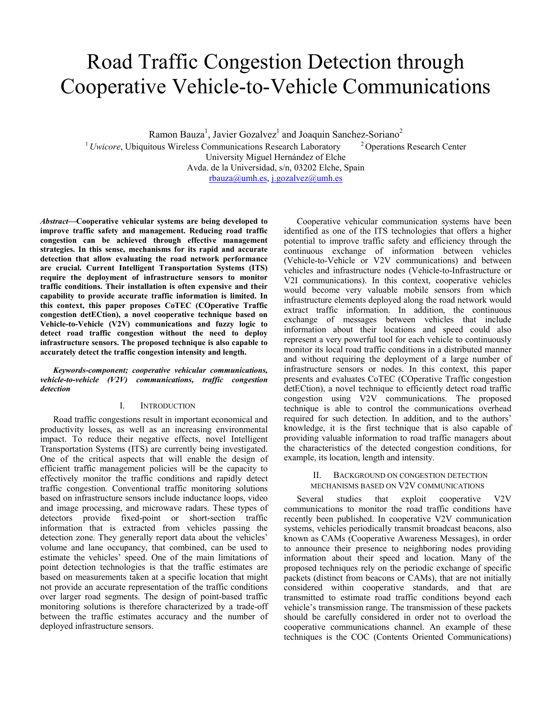# Road Traffic Congestion Detection through Cooperative Vehicle-to-Vehicle Communications

Ramon Bauza<sup>1</sup>, Javier Gozalvez<sup>1</sup> and Joaquin Sanchez-Soriano<sup>2</sup> <sup>1</sup> Uwicore, Ubiquitous Wireless Communications Research Laboratory <sup>2</sup> Operations Research Center University Miguel Hernández of Elche Avda. de la Universidad, s/n, 03202 Elche, Spain rbauza@umh.es, j.gozalvez@umh.es

*Abstract***—Cooperative vehicular systems are being developed to improve traffic safety and management. Reducing road traffic congestion can be achieved through effective management strategies. In this sense, mechanisms for its rapid and accurate detection that allow evaluating the road network performance are crucial. Current Intelligent Transportation Systems (ITS) require the deployment of infrastructure sensors to monitor traffic conditions. Their installation is often expensive and their capability to provide accurate traffic information is limited. In this context, this paper proposes CoTEC (COperative Traffic congestion detECtion), a novel cooperative technique based on Vehicle-to-Vehicle (V2V) communications and fuzzy logic to detect road traffic congestion without the need to deploy infrastructure sensors. The proposed technique is also capable to accurately detect the traffic congestion intensity and length.** 

*Keywords-component; cooperative vehicular communications, vehicle-to-vehicle (V2V) communications, traffic congestion detection* 

## I. INTRODUCTION

Road traffic congestions result in important economical and productivity losses, as well as an increasing environmental impact. To reduce their negative effects, novel Intelligent Transportation Systems (ITS) are currently being investigated. One of the critical aspects that will enable the design of efficient traffic management policies will be the capacity to effectively monitor the traffic conditions and rapidly detect traffic congestion. Conventional traffic monitoring solutions based on infrastructure sensors include inductance loops, video and image processing, and microwave radars. These types of detectors provide fixed-point or short-section traffic information that is extracted from vehicles passing the detection zone. They generally report data about the vehicles' volume and lane occupancy, that combined, can be used to estimate the vehicles' speed. One of the main limitations of point detection technologies is that the traffic estimates are based on measurements taken at a specific location that might not provide an accurate representation of the traffic conditions over larger road segments. The design of point-based traffic monitoring solutions is therefore characterized by a trade-off between the traffic estimates accuracy and the number of deployed infrastructure sensors.

Cooperative vehicular communication systems have been identified as one of the ITS technologies that offers a higher potential to improve traffic safety and efficiency through the continuous exchange of information between vehicles (Vehicle-to-Vehicle or V2V communications) and between vehicles and infrastructure nodes (Vehicle-to-Infrastructure or V2I communications). In this context, cooperative vehicles would become very valuable mobile sensors from which infrastructure elements deployed along the road network would extract traffic information. In addition, the continuous exchange of messages between vehicles that include information about their locations and speed could also represent a very powerful tool for each vehicle to continuously monitor its local road traffic conditions in a distributed manner and without requiring the deployment of a large number of infrastructure sensors or nodes. In this context, this paper presents and evaluates CoTEC (COperative Traffic congestion detECtion), a novel technique to efficiently detect road traffic congestion using V2V communications. The proposed technique is able to control the communications overhead required for such detection. In addition, and to the authors' knowledge, it is the first technique that is also capable of providing valuable information to road traffic managers about the characteristics of the detected congestion conditions, for example, its location, length and intensity.

#### II. BACKGROUND ON CONGESTION DETECTION MECHANISMS BASED ON V2V COMMUNICATIONS

Several studies that exploit cooperative V2V communications to monitor the road traffic conditions have recently been published. In cooperative V2V communication systems, vehicles periodically transmit broadcast beacons, also known as CAMs (Cooperative Awareness Messages), in order to announce their presence to neighboring nodes providing information about their speed and location. Many of the proposed techniques rely on the periodic exchange of specific packets (distinct from beacons or CAMs), that are not initially considered within cooperative standards, and that are transmitted to estimate road traffic conditions beyond each vehicle's transmission range. The transmission of these packets should be carefully considered in order not to overload the cooperative communications channel. An example of these techniques is the COC (Contents Oriented Communications)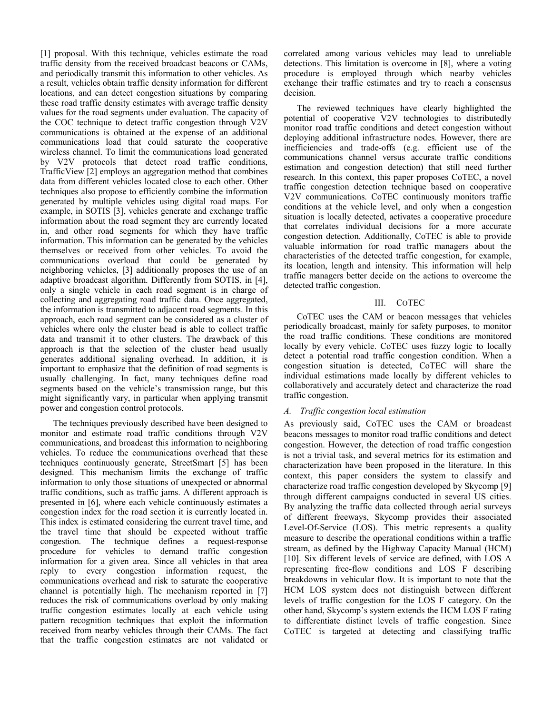[1] proposal. With this technique, vehicles estimate the road traffic density from the received broadcast beacons or CAMs, and periodically transmit this information to other vehicles. As a result, vehicles obtain traffic density information for different locations, and can detect congestion situations by comparing these road traffic density estimates with average traffic density values for the road segments under evaluation. The capacity of the COC technique to detect traffic congestion through V2V communications is obtained at the expense of an additional communications load that could saturate the cooperative wireless channel. To limit the communications load generated by V2V protocols that detect road traffic conditions, TrafficView [2] employs an aggregation method that combines data from different vehicles located close to each other. Other techniques also propose to efficiently combine the information generated by multiple vehicles using digital road maps. For example, in SOTIS [3], vehicles generate and exchange traffic information about the road segment they are currently located in, and other road segments for which they have traffic information. This information can be generated by the vehicles themselves or received from other vehicles. To avoid the communications overload that could be generated by neighboring vehicles, [3] additionally proposes the use of an adaptive broadcast algorithm. Differently from SOTIS, in [4], only a single vehicle in each road segment is in charge of collecting and aggregating road traffic data. Once aggregated, the information is transmitted to adjacent road segments. In this approach, each road segment can be considered as a cluster of vehicles where only the cluster head is able to collect traffic data and transmit it to other clusters. The drawback of this approach is that the selection of the cluster head usually generates additional signaling overhead. In addition, it is important to emphasize that the definition of road segments is usually challenging. In fact, many techniques define road segments based on the vehicle's transmission range, but this might significantly vary, in particular when applying transmit power and congestion control protocols.

The techniques previously described have been designed to monitor and estimate road traffic conditions through V2V communications, and broadcast this information to neighboring vehicles. To reduce the communications overhead that these techniques continuously generate, StreetSmart [5] has been designed. This mechanism limits the exchange of traffic information to only those situations of unexpected or abnormal traffic conditions, such as traffic jams. A different approach is presented in [6], where each vehicle continuously estimates a congestion index for the road section it is currently located in. This index is estimated considering the current travel time, and the travel time that should be expected without traffic congestion. The technique defines a request-response procedure for vehicles to demand traffic congestion information for a given area. Since all vehicles in that area reply to every congestion information request, the communications overhead and risk to saturate the cooperative channel is potentially high. The mechanism reported in [7] reduces the risk of communications overload by only making traffic congestion estimates locally at each vehicle using pattern recognition techniques that exploit the information received from nearby vehicles through their CAMs. The fact that the traffic congestion estimates are not validated or correlated among various vehicles may lead to unreliable detections. This limitation is overcome in [8], where a voting procedure is employed through which nearby vehicles exchange their traffic estimates and try to reach a consensus decision.

The reviewed techniques have clearly highlighted the potential of cooperative V2V technologies to distributedly monitor road traffic conditions and detect congestion without deploying additional infrastructure nodes. However, there are inefficiencies and trade-offs (e.g. efficient use of the communications channel versus accurate traffic conditions estimation and congestion detection) that still need further research. In this context, this paper proposes CoTEC, a novel traffic congestion detection technique based on cooperative V2V communications. CoTEC continuously monitors traffic conditions at the vehicle level, and only when a congestion situation is locally detected, activates a cooperative procedure that correlates individual decisions for a more accurate congestion detection. Additionally, CoTEC is able to provide valuable information for road traffic managers about the characteristics of the detected traffic congestion, for example, its location, length and intensity. This information will help traffic managers better decide on the actions to overcome the detected traffic congestion.

## III. COTEC

CoTEC uses the CAM or beacon messages that vehicles periodically broadcast, mainly for safety purposes, to monitor the road traffic conditions. These conditions are monitored locally by every vehicle. CoTEC uses fuzzy logic to locally detect a potential road traffic congestion condition. When a congestion situation is detected, CoTEC will share the individual estimations made locally by different vehicles to collaboratively and accurately detect and characterize the road traffic congestion.

## *A. Traffic congestion local estimation*

As previously said, CoTEC uses the CAM or broadcast beacons messages to monitor road traffic conditions and detect congestion. However, the detection of road traffic congestion is not a trivial task, and several metrics for its estimation and characterization have been proposed in the literature. In this context, this paper considers the system to classify and characterize road traffic congestion developed by Skycomp [9] through different campaigns conducted in several US cities. By analyzing the traffic data collected through aerial surveys of different freeways, Skycomp provides their associated Level-Of-Service (LOS). This metric represents a quality measure to describe the operational conditions within a traffic stream, as defined by the Highway Capacity Manual (HCM) [10]. Six different levels of service are defined, with LOS A representing free-flow conditions and LOS F describing breakdowns in vehicular flow. It is important to note that the HCM LOS system does not distinguish between different levels of traffic congestion for the LOS F category. On the other hand, Skycomp's system extends the HCM LOS F rating to differentiate distinct levels of traffic congestion. Since CoTEC is targeted at detecting and classifying traffic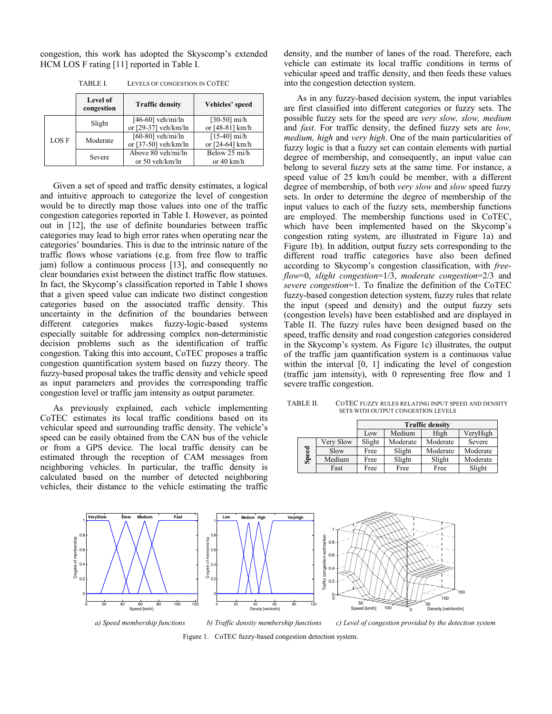congestion, this work has adopted the Skyscomp's extended HCM LOS F rating [11] reported in Table I.

|       | <b>Level of</b><br>congestion | <b>Traffic density</b> | Vehicles' speed      |
|-------|-------------------------------|------------------------|----------------------|
| LOS F | Slight                        | $[46-60]$ veh/mi/ln    | $[30-50]$ mi/h       |
|       |                               | or [29-37] veh/km/ln   | or [48-81] km/h      |
|       | Moderate                      | $[60-80]$ veh/mi/ln    | $[15-40]$ mi/h       |
|       |                               | or $[37-50]$ veh/km/ln | or [24-64] km/h      |
|       | Severe                        | Above 80 yeh/mi/ln     | Below 25 mi/h        |
|       |                               | or 50 veh/km/ln        | or $40 \text{ km/h}$ |

TABLE I. LEVELS OF CONGESTION IN COTEC

Given a set of speed and traffic density estimates, a logical and intuitive approach to categorize the level of congestion would be to directly map those values into one of the traffic congestion categories reported in Table I. However, as pointed out in [12], the use of definite boundaries between traffic categories may lead to high error rates when operating near the categories' boundaries. This is due to the intrinsic nature of the traffic flows whose variations (e.g. from free flow to traffic jam) follow a continuous process [13], and consequently no clear boundaries exist between the distinct traffic flow statuses. In fact, the Skycomp's classification reported in Table I shows that a given speed value can indicate two distinct congestion categories based on the associated traffic density. This uncertainty in the definition of the boundaries between different categories makes fuzzy-logic-based systems especially suitable for addressing complex non-deterministic decision problems such as the identification of traffic congestion. Taking this into account, CoTEC proposes a traffic congestion quantification system based on fuzzy theory. The fuzzy-based proposal takes the traffic density and vehicle speed as input parameters and provides the corresponding traffic congestion level or traffic jam intensity as output parameter.

As previously explained, each vehicle implementing CoTEC estimates its local traffic conditions based on its vehicular speed and surrounding traffic density. The vehicle's speed can be easily obtained from the CAN bus of the vehicle or from a GPS device. The local traffic density can be estimated through the reception of CAM messages from neighboring vehicles. In particular, the traffic density is calculated based on the number of detected neighboring vehicles, their distance to the vehicle estimating the traffic

density, and the number of lanes of the road. Therefore, each vehicle can estimate its local traffic conditions in terms of vehicular speed and traffic density, and then feeds these values into the congestion detection system.

As in any fuzzy-based decision system, the input variables are first classified into different categories or fuzzy sets. The possible fuzzy sets for the speed are *very slow, slow, medium* and *fast*. For traffic density, the defined fuzzy sets are *low, medium, high* and *very high*. One of the main particularities of fuzzy logic is that a fuzzy set can contain elements with partial degree of membership, and consequently, an input value can belong to several fuzzy sets at the same time. For instance, a speed value of 25 km/h could be member, with a different degree of membership, of both *very slow* and *slow* speed fuzzy sets. In order to determine the degree of membership of the input values to each of the fuzzy sets, membership functions are employed. The membership functions used in CoTEC, which have been implemented based on the Skycomp's congestion rating system, are illustrated in Figure 1a) and Figure 1b). In addition, output fuzzy sets corresponding to the different road traffic categories have also been defined according to Skycomp's congestion classification, with *freeflow*=0, *slight congestion*=1/3, *moderate congestion*=2/3 and *severe congestion*=1. To finalize the definition of the CoTEC fuzzy-based congestion detection system, fuzzy rules that relate the input (speed and density) and the output fuzzy sets (congestion levels) have been established and are displayed in Table II. The fuzzy rules have been designed based on the speed, traffic density and road congestion categories considered in the Skycomp's system. As Figure 1c) illustrates, the output of the traffic jam quantification system is a continuous value within the interval [0, 1] indicating the level of congestion (traffic jam intensity), with 0 representing free flow and 1 severe traffic congestion.

| TABLE II. | COTEC FUZZY RULES RELATING INPUT SPEED AND DENSITY |
|-----------|----------------------------------------------------|
|           | SETS WITH OUTPUT CONGESTION LEVELS                 |

|       |           | <b>Traffic density</b> |          |          |          |  |
|-------|-----------|------------------------|----------|----------|----------|--|
|       |           | Low                    | Medium   | High     | VeryHigh |  |
| Speed | Very Slow | Slight                 | Moderate | Moderate | Severe   |  |
|       | Slow      | Free                   | Slight   | Moderate | Moderate |  |
|       | Medium    | Free                   | Slight   | Slight   | Moderate |  |
|       | Fast      | Free                   | Free     | Free     | Slight   |  |



Figure 1. CoTEC fuzzy-based congestion detection system.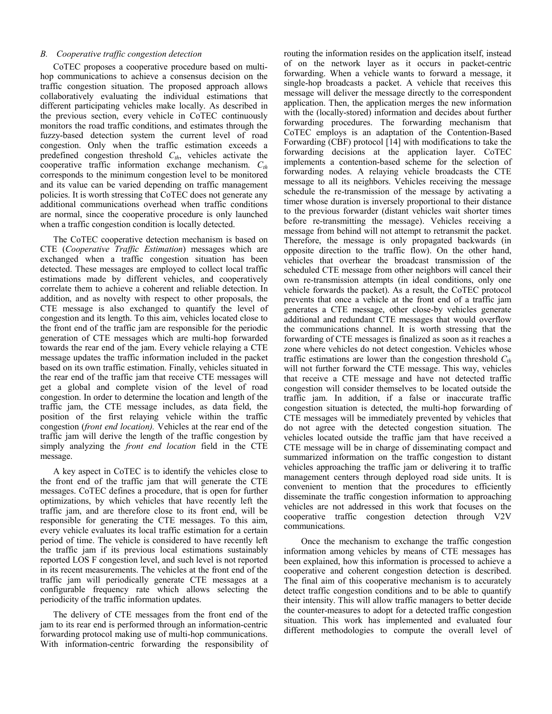### *B. Cooperative traffic congestion detection*

CoTEC proposes a cooperative procedure based on multihop communications to achieve a consensus decision on the traffic congestion situation. The proposed approach allows collaboratively evaluating the individual estimations that different participating vehicles make locally. As described in the previous section, every vehicle in CoTEC continuously monitors the road traffic conditions, and estimates through the fuzzy-based detection system the current level of road congestion. Only when the traffic estimation exceeds a predefined congestion threshold  $C_{th}$ , vehicles activate the cooperative traffic information exchange mechanism.  $C_{th}$ corresponds to the minimum congestion level to be monitored and its value can be varied depending on traffic management policies. It is worth stressing that CoTEC does not generate any additional communications overhead when traffic conditions are normal, since the cooperative procedure is only launched when a traffic congestion condition is locally detected.

The CoTEC cooperative detection mechanism is based on CTE (*Cooperative Traffic Estimation*) messages which are exchanged when a traffic congestion situation has been detected. These messages are employed to collect local traffic estimations made by different vehicles, and cooperatively correlate them to achieve a coherent and reliable detection. In addition, and as novelty with respect to other proposals, the CTE message is also exchanged to quantify the level of congestion and its length. To this aim, vehicles located close to the front end of the traffic jam are responsible for the periodic generation of CTE messages which are multi-hop forwarded towards the rear end of the jam. Every vehicle relaying a CTE message updates the traffic information included in the packet based on its own traffic estimation. Finally, vehicles situated in the rear end of the traffic jam that receive CTE messages will get a global and complete vision of the level of road congestion. In order to determine the location and length of the traffic jam, the CTE message includes, as data field, the position of the first relaying vehicle within the traffic congestion (*front end location).* Vehicles at the rear end of the traffic jam will derive the length of the traffic congestion by simply analyzing the *front end location* field in the CTE message.

A key aspect in CoTEC is to identify the vehicles close to the front end of the traffic jam that will generate the CTE messages. CoTEC defines a procedure, that is open for further optimizations, by which vehicles that have recently left the traffic jam, and are therefore close to its front end, will be responsible for generating the CTE messages. To this aim, every vehicle evaluates its local traffic estimation for a certain period of time. The vehicle is considered to have recently left the traffic jam if its previous local estimations sustainably reported LOS F congestion level, and such level is not reported in its recent measurements. The vehicles at the front end of the traffic jam will periodically generate CTE messages at a configurable frequency rate which allows selecting the periodicity of the traffic information updates.

The delivery of CTE messages from the front end of the jam to its rear end is performed through an information-centric forwarding protocol making use of multi-hop communications. With information-centric forwarding the responsibility of routing the information resides on the application itself, instead of on the network layer as it occurs in packet-centric forwarding. When a vehicle wants to forward a message, it single-hop broadcasts a packet. A vehicle that receives this message will deliver the message directly to the correspondent application. Then, the application merges the new information with the (locally-stored) information and decides about further forwarding procedures. The forwarding mechanism that CoTEC employs is an adaptation of the Contention-Based Forwarding (CBF) protocol [14] with modifications to take the forwarding decisions at the application layer. CoTEC implements a contention-based scheme for the selection of forwarding nodes. A relaying vehicle broadcasts the CTE message to all its neighbors. Vehicles receiving the message schedule the re-transmission of the message by activating a timer whose duration is inversely proportional to their distance to the previous forwarder (distant vehicles wait shorter times before re-transmitting the message). Vehicles receiving a message from behind will not attempt to retransmit the packet. Therefore, the message is only propagated backwards (in opposite direction to the traffic flow). On the other hand, vehicles that overhear the broadcast transmission of the scheduled CTE message from other neighbors will cancel their own re-transmission attempts (in ideal conditions, only one vehicle forwards the packet). As a result, the CoTEC protocol prevents that once a vehicle at the front end of a traffic jam generates a CTE message, other close-by vehicles generate additional and redundant CTE messages that would overflow the communications channel. It is worth stressing that the forwarding of CTE messages is finalized as soon as it reaches a zone where vehicles do not detect congestion. Vehicles whose traffic estimations are lower than the congestion threshold  $C_{th}$ will not further forward the CTE message. This way, vehicles that receive a CTE message and have not detected traffic congestion will consider themselves to be located outside the traffic jam. In addition, if a false or inaccurate traffic congestion situation is detected, the multi-hop forwarding of CTE messages will be immediately prevented by vehicles that do not agree with the detected congestion situation. The vehicles located outside the traffic jam that have received a CTE message will be in charge of disseminating compact and summarized information on the traffic congestion to distant vehicles approaching the traffic jam or delivering it to traffic management centers through deployed road side units. It is convenient to mention that the procedures to efficiently disseminate the traffic congestion information to approaching vehicles are not addressed in this work that focuses on the cooperative traffic congestion detection through V2V communications.

 Once the mechanism to exchange the traffic congestion information among vehicles by means of CTE messages has been explained, how this information is processed to achieve a cooperative and coherent congestion detection is described. The final aim of this cooperative mechanism is to accurately detect traffic congestion conditions and to be able to quantify their intensity. This will allow traffic managers to better decide the counter-measures to adopt for a detected traffic congestion situation. This work has implemented and evaluated four different methodologies to compute the overall level of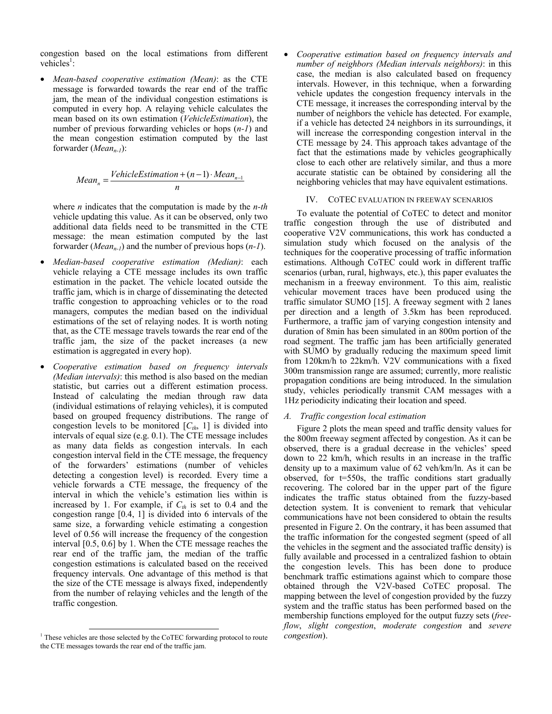congestion based on the local estimations from different vehicles<sup>1</sup>:

• *Mean-based cooperative estimation (Mean)*: as the CTE message is forwarded towards the rear end of the traffic jam, the mean of the individual congestion estimations is computed in every hop. A relaying vehicle calculates the mean based on its own estimation (*VehicleEstimation*), the number of previous forwarding vehicles or hops (*n-1*) and the mean congestion estimation computed by the last forwarder (*Mean<sub>n-1</sub>*):

$$
Mean_n = \frac{VehicleEstimation + (n-1) \cdot Mean_{n-1}}{n}
$$

where *n* indicates that the computation is made by the *n-th* vehicle updating this value. As it can be observed, only two additional data fields need to be transmitted in the CTE message: the mean estimation computed by the last forwarder (*Mean<sub>n-1</sub>*) and the number of previous hops  $(n-1)$ .

- *Median-based cooperative estimation (Median)*: each vehicle relaying a CTE message includes its own traffic estimation in the packet. The vehicle located outside the traffic jam, which is in charge of disseminating the detected traffic congestion to approaching vehicles or to the road managers, computes the median based on the individual estimations of the set of relaying nodes. It is worth noting that, as the CTE message travels towards the rear end of the traffic jam, the size of the packet increases (a new estimation is aggregated in every hop).
- *Cooperative estimation based on frequency intervals (Median intervals)*: this method is also based on the median statistic, but carries out a different estimation process. Instead of calculating the median through raw data (individual estimations of relaying vehicles), it is computed based on grouped frequency distributions. The range of congestion levels to be monitored  $[C<sub>th</sub>, 1]$  is divided into intervals of equal size (e.g. 0.1). The CTE message includes as many data fields as congestion intervals. In each congestion interval field in the CTE message, the frequency of the forwarders' estimations (number of vehicles detecting a congestion level) is recorded. Every time a vehicle forwards a CTE message, the frequency of the interval in which the vehicle's estimation lies within is increased by 1. For example, if  $C<sub>th</sub>$  is set to 0.4 and the congestion range [0.4, 1] is divided into 6 intervals of the same size, a forwarding vehicle estimating a congestion level of 0.56 will increase the frequency of the congestion interval [0.5, 0.6] by 1. When the CTE message reaches the rear end of the traffic jam, the median of the traffic congestion estimations is calculated based on the received frequency intervals. One advantage of this method is that the size of the CTE message is always fixed, independently from the number of relaying vehicles and the length of the traffic congestion.

• *Cooperative estimation based on frequency intervals and number of neighbors (Median intervals neighbors)*: in this case, the median is also calculated based on frequency intervals. However, in this technique, when a forwarding vehicle updates the congestion frequency intervals in the CTE message, it increases the corresponding interval by the number of neighbors the vehicle has detected. For example, if a vehicle has detected 24 neighbors in its surroundings, it will increase the corresponding congestion interval in the CTE message by 24. This approach takes advantage of the fact that the estimations made by vehicles geographically close to each other are relatively similar, and thus a more accurate statistic can be obtained by considering all the neighboring vehicles that may have equivalent estimations.

#### IV. COTEC EVALUATION IN FREEWAY SCENARIOS

To evaluate the potential of CoTEC to detect and monitor traffic congestion through the use of distributed and cooperative V2V communications, this work has conducted a simulation study which focused on the analysis of the techniques for the cooperative processing of traffic information estimations. Although CoTEC could work in different traffic scenarios (urban, rural, highways, etc.), this paper evaluates the mechanism in a freeway environment. To this aim, realistic vehicular movement traces have been produced using the traffic simulator SUMO [15]. A freeway segment with 2 lanes per direction and a length of 3.5km has been reproduced. Furthermore, a traffic jam of varying congestion intensity and duration of 8min has been simulated in an 800m portion of the road segment. The traffic jam has been artificially generated with SUMO by gradually reducing the maximum speed limit from 120km/h to 22km/h. V2V communications with a fixed 300m transmission range are assumed; currently, more realistic propagation conditions are being introduced. In the simulation study, vehicles periodically transmit CAM messages with a 1Hz periodicity indicating their location and speed.

#### *A. Traffic congestion local estimation*

Figure 2 plots the mean speed and traffic density values for the 800m freeway segment affected by congestion. As it can be observed, there is a gradual decrease in the vehicles' speed down to 22 km/h, which results in an increase in the traffic density up to a maximum value of 62 veh/km/ln. As it can be observed, for  $t=550s$ , the traffic conditions start gradually recovering. The colored bar in the upper part of the figure indicates the traffic status obtained from the fuzzy-based detection system. It is convenient to remark that vehicular communications have not been considered to obtain the results presented in Figure 2. On the contrary, it has been assumed that the traffic information for the congested segment (speed of all the vehicles in the segment and the associated traffic density) is fully available and processed in a centralized fashion to obtain the congestion levels. This has been done to produce benchmark traffic estimations against which to compare those obtained through the V2V-based CoTEC proposal. The mapping between the level of congestion provided by the fuzzy system and the traffic status has been performed based on the membership functions employed for the output fuzzy sets (*freeflow*, *slight congestion*, *moderate congestion* and *severe congestion*).

<sup>&</sup>lt;sup>1</sup> These vehicles are those selected by the CoTEC forwarding protocol to route the CTE messages towards the rear end of the traffic jam.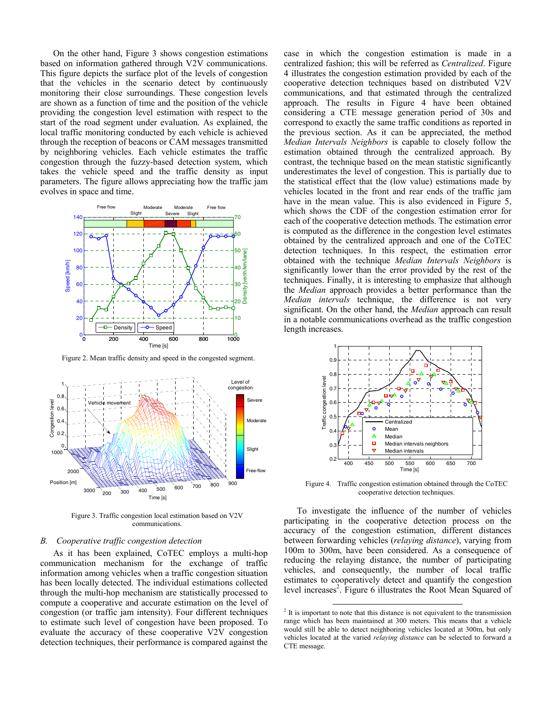On the other hand, Figure 3 shows congestion estimations based on information gathered through V2V communications. This figure depicts the surface plot of the levels of congestion that the vehicles in the scenario detect by continuously monitoring their close surroundings. These congestion levels are shown as a function of time and the position of the vehicle providing the congestion level estimation with respect to the start of the road segment under evaluation. As explained, the local traffic monitoring conducted by each vehicle is achieved through the reception of beacons or CAM messages transmitted by neighboring vehicles. Each vehicle estimates the traffic congestion through the fuzzy-based detection system, which takes the vehicle speed and the traffic density as input parameters. The figure allows appreciating how the traffic jam evolves in space and time.



Figure 2. Mean traffic density and speed in the congested segment.



Figure 3. Traffic congestion local estimation based on V2V communications.

## *B. Cooperative traffic congestion detection*

As it has been explained, CoTEC employs a multi-hop communication mechanism for the exchange of traffic information among vehicles when a traffic congestion situation has been locally detected. The individual estimations collected through the multi-hop mechanism are statistically processed to compute a cooperative and accurate estimation on the level of congestion (or traffic jam intensity). Four different techniques to estimate such level of congestion have been proposed. To evaluate the accuracy of these cooperative V2V congestion detection techniques, their performance is compared against the

case in which the congestion estimation is made in a centralized fashion; this will be referred as *Centralized*. Figure 4 illustrates the congestion estimation provided by each of the cooperative detection techniques based on distributed V2V communications, and that estimated through the centralized approach. The results in Figure 4 have been obtained considering a CTE message generation period of 30s and correspond to exactly the same traffic conditions as reported in the previous section. As it can be appreciated, the method *Median Intervals Neighbors* is capable to closely follow the estimation obtained through the centralized approach. By contrast, the technique based on the mean statistic significantly underestimates the level of congestion. This is partially due to the statistical effect that the (low value) estimations made by vehicles located in the front and rear ends of the traffic jam have in the mean value. This is also evidenced in Figure 5, which shows the CDF of the congestion estimation error for each of the cooperative detection methods. The estimation error is computed as the difference in the congestion level estimates obtained by the centralized approach and one of the CoTEC detection techniques. In this respect, the estimation error obtained with the technique *Median Intervals Neighbors* is significantly lower than the error provided by the rest of the techniques. Finally, it is interesting to emphasize that although the *Median* approach provides a better performance than the *Median intervals* technique, the difference is not very significant. On the other hand, the *Median* approach can result in a notable communications overhead as the traffic congestion length increases.



Figure 4. Traffic congestion estimation obtained through the CoTEC cooperative detection techniques.

To investigate the influence of the number of vehicles participating in the cooperative detection process on the accuracy of the congestion estimation, different distances between forwarding vehicles (*relaying distance*), varying from 100m to 300m, have been considered. As a consequence of reducing the relaying distance, the number of participating vehicles, and consequently, the number of local traffic estimates to cooperatively detect and quantify the congestion level increases<sup>2</sup>. Figure 6 illustrates the Root Mean Squared of

<sup>&</sup>lt;sup>2</sup> It is important to note that this distance is not equivalent to the transmission range which has been maintained at 300 meters. This means that a vehicle would still be able to detect neighboring vehicles located at 300m, but only vehicles located at the varied *relaying distance* can be selected to forward a CTE message.